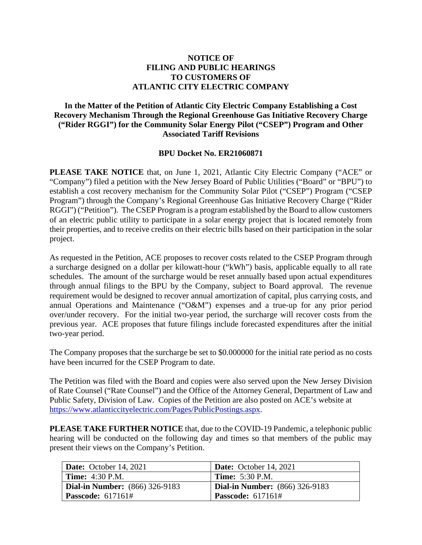## **NOTICE OF FILING AND PUBLIC HEARINGS TO CUSTOMERS OF ATLANTIC CITY ELECTRIC COMPANY**

## **In the Matter of the Petition of Atlantic City Electric Company Establishing a Cost Recovery Mechanism Through the Regional Greenhouse Gas Initiative Recovery Charge ("Rider RGGI") for the Community Solar Energy Pilot ("CSEP") Program and Other Associated Tariff Revisions**

## **BPU Docket No. ER21060871**

**PLEASE TAKE NOTICE** that, on June 1, 2021, Atlantic City Electric Company ("ACE" or "Company") filed a petition with the New Jersey Board of Public Utilities ("Board" or "BPU") to establish a cost recovery mechanism for the Community Solar Pilot ("CSEP") Program ("CSEP Program") through the Company's Regional Greenhouse Gas Initiative Recovery Charge ("Rider RGGI") ("Petition"). The CSEP Program is a program established by the Board to allow customers of an electric public utility to participate in a solar energy project that is located remotely from their properties, and to receive credits on their electric bills based on their participation in the solar project.

As requested in the Petition, ACE proposes to recover costs related to the CSEP Program through a surcharge designed on a dollar per kilowatt-hour ("kWh") basis, applicable equally to all rate schedules. The amount of the surcharge would be reset annually based upon actual expenditures through annual filings to the BPU by the Company, subject to Board approval. The revenue requirement would be designed to recover annual amortization of capital, plus carrying costs, and annual Operations and Maintenance ("O&M") expenses and a true-up for any prior period over/under recovery. For the initial two-year period, the surcharge will recover costs from the previous year. ACE proposes that future filings include forecasted expenditures after the initial two-year period.

The Company proposes that the surcharge be set to \$0.000000 for the initial rate period as no costs have been incurred for the CSEP Program to date.

The Petition was filed with the Board and copies were also served upon the New Jersey Division of Rate Counsel ("Rate Counsel") and the Office of the Attorney General, Department of Law and Public Safety, Division of Law. Copies of the Petition are also posted on ACE's website at [https://www.atlanticcityelectric.com/Pages/PublicPostings.aspx.](https://www.atlanticcityelectric.com/Pages/PublicPostings.aspx)

**PLEASE TAKE FURTHER NOTICE** that, due to the COVID-19 Pandemic, a telephonic public hearing will be conducted on the following day and times so that members of the public may present their views on the Company's Petition.

| Date: October 14, 2021                | <b>Date:</b> October 14, 2021         |
|---------------------------------------|---------------------------------------|
| <b>Time:</b> 4:30 P.M.                | <b>Time:</b> 5:30 P.M.                |
| <b>Dial-in Number:</b> (866) 326-9183 | <b>Dial-in Number:</b> (866) 326-9183 |
| <b>Passcode:</b> $617161#$            | <b>Passcode:</b> 617161#              |